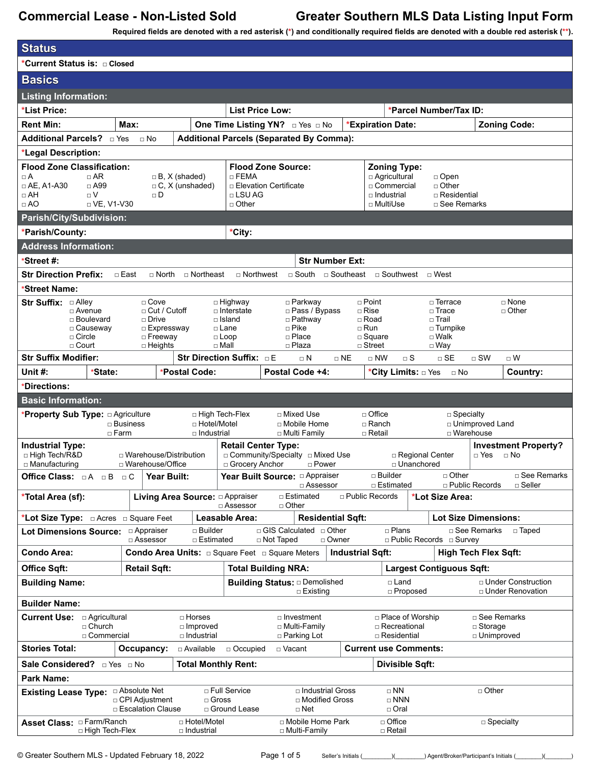**Required fields are denoted with a red asterisk (\*) and conditionally required fields are denoted with a double red asterisk (\*\*).**

| <b>Status</b>                                                                                         |                                                     |                                                |                                 |                                                                  |                                 |                                      |                                   |                                            |
|-------------------------------------------------------------------------------------------------------|-----------------------------------------------------|------------------------------------------------|---------------------------------|------------------------------------------------------------------|---------------------------------|--------------------------------------|-----------------------------------|--------------------------------------------|
| *Current Status is: n Closed                                                                          |                                                     |                                                |                                 |                                                                  |                                 |                                      |                                   |                                            |
| <b>Basics</b>                                                                                         |                                                     |                                                |                                 |                                                                  |                                 |                                      |                                   |                                            |
| <b>Listing Information:</b>                                                                           |                                                     |                                                |                                 |                                                                  |                                 |                                      |                                   |                                            |
| *List Price:                                                                                          |                                                     |                                                | <b>List Price Low:</b>          |                                                                  |                                 |                                      | *Parcel Number/Tax ID:            |                                            |
| <b>Rent Min:</b>                                                                                      | Max:                                                |                                                |                                 | One Time Listing YN? Dives DNo                                   |                                 | <b>*Expiration Date:</b>             |                                   | <b>Zoning Code:</b>                        |
| Additional Parcels? DYes                                                                              | $\sqcap$ No                                         |                                                |                                 | <b>Additional Parcels (Separated By Comma):</b>                  |                                 |                                      |                                   |                                            |
| *Legal Description:                                                                                   |                                                     |                                                |                                 |                                                                  |                                 |                                      |                                   |                                            |
| <b>Flood Zone Classification:</b>                                                                     |                                                     |                                                |                                 | <b>Flood Zone Source:</b>                                        |                                 | <b>Zoning Type:</b>                  |                                   |                                            |
| $\Box$ A<br>$\Box$ AR<br>$\Box$ AE, A1-A30<br>$\Box$ A99                                              |                                                     | $\Box$ B, X (shaded)<br>$\Box$ C, X (unshaded) | $\Box$ FEMA                     | □ Elevation Certificate                                          |                                 | □ Agricultural<br>□ Commercial       | $\Box$ Open<br>□ Other            |                                            |
| $\Box$ AH<br>$\Box V$                                                                                 | $\Box$ D                                            |                                                | $\Box$ LSU AG                   |                                                                  |                                 | □ Industrial                         | □ Residential                     |                                            |
| $\Box$ AO<br>$\Box$ VE, V1-V30                                                                        |                                                     |                                                | $\Box$ Other                    |                                                                  |                                 | □ MultiUse                           | □ See Remarks                     |                                            |
| Parish/City/Subdivision:                                                                              |                                                     |                                                |                                 |                                                                  |                                 |                                      |                                   |                                            |
| *Parish/County:                                                                                       |                                                     |                                                | *City:                          |                                                                  |                                 |                                      |                                   |                                            |
| <b>Address Information:</b>                                                                           |                                                     |                                                |                                 |                                                                  |                                 |                                      |                                   |                                            |
| *Street #:                                                                                            |                                                     |                                                |                                 |                                                                  | <b>Str Number Ext:</b>          |                                      |                                   |                                            |
| <b>Str Direction Prefix:</b>                                                                          | □ East                                              | □ North □ Northeast                            |                                 | □ Northwest □ South □ Southeast                                  |                                 |                                      | □ Southwest □ West                |                                            |
| *Street Name:                                                                                         |                                                     |                                                |                                 |                                                                  |                                 |                                      |                                   |                                            |
| □ Alley<br><b>Str Suffix:</b><br>□ Avenue                                                             | $\Box$ Cove<br>□ Cut / Cutoff                       |                                                | □ Highway<br>□ Interstate       | □ Parkway<br>□ Pass / Bypass                                     |                                 | $\Box$ Point<br>$\sqcap$ Rise        | $\sqcap$ Terrace<br>$\Box$ Trace  | $\sqcap$ None<br>□ Other                   |
| □ Boulevard                                                                                           | □ Drive                                             |                                                | $\Box$ Island                   | $\Box$ Pathway                                                   |                                 | $\Box$ Road                          | $\square$ Trail                   |                                            |
| □ Causeway<br>$\Box$ Circle                                                                           | □ Expressway<br>□ Freeway                           |                                                | □ Lane<br>$\Box$ Loop           | $\Box$ Pike<br>$\Box$ Place                                      |                                 | $\Box$ Run<br>$\square$ Square       | □ Turnpike<br>□ Walk              |                                            |
| $\Box$ Court                                                                                          | $\Box$ Heights                                      | $\Box$ Mall                                    |                                 | □ Plaza                                                          |                                 | $\Box$ Street                        | $\Box$ Way                        |                                            |
| <b>Str Suffix Modifier:</b>                                                                           |                                                     | <b>Str Direction Suffix: DE</b>                |                                 | $\Box$ N                                                         | $\sqcap$ NE                     | $\Box$ NW<br>$\sqcap$ S              | $\sqcap$ SE                       | $\sqcap$ SW<br>$\Box$ W                    |
| Unit $#$ :<br>*State:                                                                                 |                                                     | *Postal Code:                                  |                                 | Postal Code +4:                                                  |                                 | *City Limits: □ Yes                  | ⊟ No                              | Country:                                   |
| *Directions:                                                                                          |                                                     |                                                |                                 |                                                                  |                                 |                                      |                                   |                                            |
| <b>Basic Information:</b>                                                                             |                                                     |                                                |                                 |                                                                  |                                 |                                      |                                   |                                            |
| *Property Sub Type: a Agriculture                                                                     | $\square$ Business                                  | □ High Tech-Flex<br>□ Hotel/Motel              |                                 | □ Mixed Use<br>□ Mobile Home                                     |                                 | $\Box$ Office<br>□ Ranch             | $\Box$ Specialty                  | □ Unimproved Land                          |
|                                                                                                       | $\Box$ Farm                                         | □ Industrial                                   |                                 | □ Multi Family                                                   |                                 | $\sqcap$ Retail                      |                                   | □ Warehouse                                |
| <b>Industrial Type:</b>                                                                               |                                                     |                                                | <b>Retail Center Type:</b>      |                                                                  |                                 |                                      |                                   | <b>Investment Property?</b>                |
| □ High Tech/R&D<br>□ Manufacturing                                                                    | $\Box$ Warehouse/Distribution<br>□ Warehouse/Office |                                                | □ Grocery Anchor                | □ Community/Specialty □ Mixed Use<br>□ Power                     |                                 |                                      | □ Regional Center<br>□ Unanchored | □ Yes<br>$\Box$ No                         |
| Office Class: $\Box A \Box B \Box C$ Year Built:                                                      |                                                     |                                                |                                 |                                                                  |                                 | □ Builder                            | $\sqcap$ Other                    | $\square$ See Remarks                      |
| *Total Area (sf):                                                                                     |                                                     | Living Area Source: <sup>D</sup> Appraiser     |                                 | □ Assessor<br>$\sqcap$ Estimated                                 |                                 | □ Estimated<br>$\Box$ Public Records | *Lot Size Area:                   | □ Public Records<br>$\Box$ Seller          |
|                                                                                                       |                                                     |                                                | □ Assessor                      | $\Box$ Other                                                     |                                 |                                      |                                   |                                            |
|                                                                                                       |                                                     |                                                | Leasable Area:                  |                                                                  | <b>Residential Sqft:</b>        |                                      |                                   | <b>Lot Size Dimensions:</b>                |
| <b>Lot Dimensions Source:</b>                                                                         | □ Appraiser<br>□ Assessor                           | □ Builder<br>□ Estimated                       |                                 | □ GIS Calculated □ Other<br>□ Not Taped                          | □ Owner                         | $\Box$ Plans                         | □ Public Records □ Survey         | □ See Remarks<br>□ Taped                   |
| <b>Condo Area:</b>                                                                                    |                                                     |                                                |                                 | <b>Condo Area Units:</b> $\Box$ Square Feet $\Box$ Square Meters | <b>Industrial Sqft:</b>         |                                      |                                   | <b>High Tech Flex Sqft:</b>                |
| <b>Office Sqft:</b>                                                                                   | <b>Retail Sqft:</b>                                 |                                                |                                 | <b>Total Building NRA:</b>                                       |                                 |                                      | <b>Largest Contiguous Sqft:</b>   |                                            |
| <b>Building Name:</b>                                                                                 |                                                     |                                                |                                 | <b>Building Status: a Demolished</b><br>□ Existing               |                                 | □ Land<br>□ Proposed                 |                                   | □ Under Construction<br>□ Under Renovation |
| <b>Builder Name:</b>                                                                                  |                                                     |                                                |                                 |                                                                  |                                 |                                      |                                   |                                            |
| <b>Current Use: a Agricultural</b><br>□ Place of Worship<br>□ See Remarks<br>□ Horses<br>□ Investment |                                                     |                                                |                                 |                                                                  |                                 |                                      |                                   |                                            |
| □ Church<br>□ Improved<br>□ Commercial<br>□ Industrial                                                |                                                     |                                                | □ Multi-Family<br>□ Parking Lot |                                                                  | □ Recreational<br>□ Residential |                                      | □ Storage<br>□ Unimproved         |                                            |
| <b>Stories Total:</b>                                                                                 | Occupancy:                                          | □ Available                                    | □ Occupied                      | □ Vacant                                                         |                                 | <b>Current use Comments:</b>         |                                   |                                            |
|                                                                                                       |                                                     | <b>Total Monthly Rent:</b>                     |                                 |                                                                  |                                 | <b>Divisible Sqft:</b>               |                                   |                                            |
| <b>Park Name:</b>                                                                                     |                                                     |                                                |                                 |                                                                  |                                 |                                      |                                   |                                            |
|                                                                                                       |                                                     |                                                | □ Full Service                  |                                                                  | □ Industrial Gross              | $\Box$ NN                            |                                   | $\Box$ Other                               |
|                                                                                                       | □ Absolute Net                                      |                                                |                                 |                                                                  |                                 |                                      |                                   |                                            |
| <b>Existing Lease Type:</b>                                                                           | □ CPI Adjustment                                    | $\Box$ Gross                                   |                                 | □ Modified Gross                                                 |                                 | $\Box$ NNN                           |                                   |                                            |
|                                                                                                       | □ Escalation Clause                                 |                                                | □ Ground Lease                  | □ Net                                                            |                                 | □ Oral                               |                                   |                                            |
| □ High Tech-Flex                                                                                      |                                                     | □ Hotel/Motel<br>□ Industrial                  |                                 | □ Mobile Home Park<br>□ Multi-Family                             |                                 | □ Office<br>□ Retail                 |                                   | $\Box$ Specialty                           |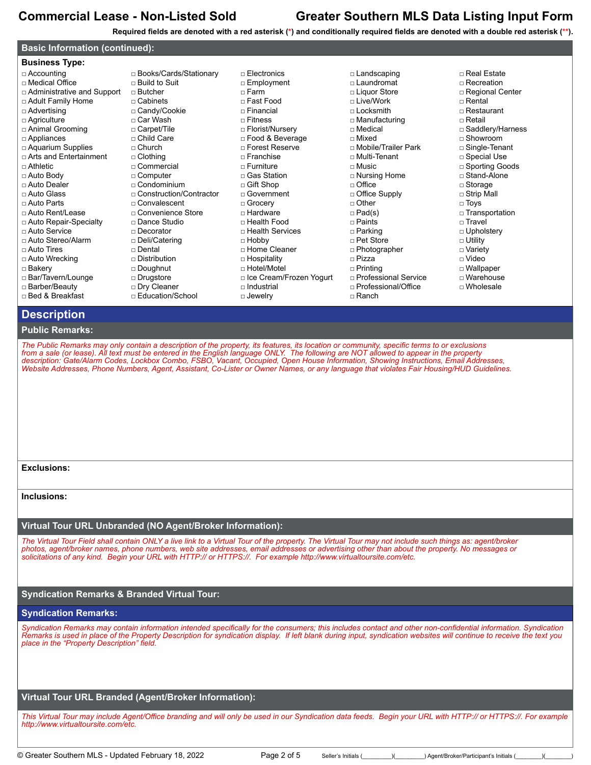**Required fields are denoted with a red asterisk (\*) and conditionally required fields are denoted with a double red asterisk (\*\*).**

## **Basic Information (continued):**

| <b>Business Type:</b>        |                           |                           |
|------------------------------|---------------------------|---------------------------|
| □ Accounting                 | □ Books/Cards/Stationary  | $\Box$ Electronics        |
| □ Medical Office             | $\sqcap$ Build to Suit    | □ Employment              |
| □ Administrative and Support | $\Box$ Butcher            | $\sqcap$ Farm             |
| □ Adult Family Home          | $\sqcap$ Cabinets         | □ Fast Food               |
| □ Advertising                | □ Candy/Cookie            | $\sqcap$ Financial        |
| □ Agriculture                | □ Car Wash                | $\sqcap$ Fitness          |
| □ Animal Grooming            | □ Carpet/Tile             | □ Florist/Nursery         |
| □ Appliances                 | □ Child Care              | □ Food & Beverage         |
| □ Aquarium Supplies          | $\sqcap$ Church           | □ Forest Reserve          |
| □ Arts and Entertainment     | $\Box$ Clothing           | $\Box$ Franchise          |
| $\sqcap$ Athletic            | □ Commercial              | $\sqcap$ Furniture        |
| □ Auto Body                  | □ Computer                | □ Gas Station             |
| □ Auto Dealer                | $\sqcap$ Condominium      | □ Gift Shop               |
| □ Auto Glass                 | □ Construction/Contractor | □ Government              |
| □ Auto Parts                 | $\sqcap$ Convalescent     | □ Grocery                 |
| □ Auto Rent/Lease            | □ Convenience Store       | □ Hardware                |
| □ Auto Repair-Specialty      | □ Dance Studio            | □ Health Food             |
| □ Auto Service               | $\Box$ Decorator          | □ Health Services         |
| □ Auto Stereo/Alarm          | □ Deli/Catering           | $\Box$ Hobby              |
| $\sqcap$ Auto Tires          | $\sqcap$ Dental           | □ Home Cleaner            |
| □ Auto Wrecking              | $\Box$ Distribution       | □ Hospitality             |
| □ Bakery                     | □ Doughnut                | □ Hotel/Motel             |
| □ Bar/Tavern/Lounge          | □ Drugstore               | □ Ice Cream/Frozen Yogurt |
| □ Barber/Beauty              | □ Dry Cleaner             | $\sqcap$ Industrial       |
| □ Bed & Breakfast            | □ Education/School        | □ Jewelry                 |
| Description                  |                           |                           |

### □ Landscaping □ Laundromat □ Liquor Store □ Live/Work □ Locksmith □ Manufacturing □ Medical □ Mixed □ Mobile/Trailer Park □ Multi-Tenant □ Music □ Nursing Home □ Office □ Office Supply □ Other □ Pad(s) □ Paints □ Parking □ Pet Store □ Photographer □ Pizza □ Printing □ Professional Service □ Professional/Office

□ Rental □ Restaurant □ Retail □ Saddlery/Harness

□ Real Estate □ Recreation □ Regional Center

- □ Showroom
- □ Single-Tenant
- □ Special Use
- □ Sporting Goods
- □ Stand-Alone
- □ Storage
- □ Strip Mall
- □ Toys
- □ Transportation
- □ Travel
- □ Upholstery
- □ Utility
- □ Variety □ Video
- □ Wallpaper
- □ Warehouse
- □ Wholesale
- □ Ranch

# **Public Remarks:**

*The Public Remarks may only contain a description of the property, its features, its location or community, specific terms to or exclusions from a sale (or lease). All text must be entered in the English language ONLY. The following are NOT allowed to appear in the property description: Gate/Alarm Codes, Lockbox Combo, FSBO, Vacant, Occupied, Open House Information, Showing Instructions, Email Addresses, Website Addresses, Phone Numbers, Agent, Assistant, Co-Lister or Owner Names, or any language that violates Fair Housing/HUD Guidelines.*

**Exclusions:**

**Inclusions:**

## **Virtual Tour URL Unbranded (NO Agent/Broker Information):**

*The Virtual Tour Field shall contain ONLY a live link to a Virtual Tour of the property. The Virtual Tour may not include such things as: agent/broker photos, agent/broker names, phone numbers, web site addresses, email addresses or advertising other than about the property. No messages or solicitations of any kind. Begin your URL with HTTP:// or HTTPS://. For example http://www.virtualtoursite.com/etc.*

## **Syndication Remarks & Branded Virtual Tour:**

### **Syndication Remarks:**

*Syndication Remarks may contain information intended specifically for the consumers; this includes contact and other non-confidential information. Syndication Remarks is used in place of the Property Description for syndication display. If left blank during input, syndication websites will continue to receive the text you place in the "Property Description" field.*

## **Virtual Tour URL Branded (Agent/Broker Information):**

*This Virtual Tour may include Agent/Office branding and will only be used in our Syndication data feeds. Begin your URL with HTTP:// or HTTPS://. For example http://www.virtualtoursite.com/etc.*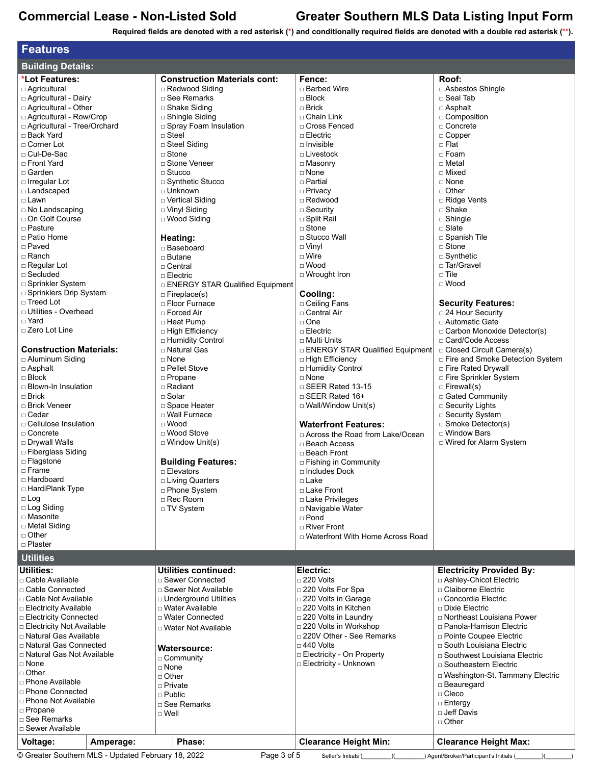**Required fields are denoted with a red asterisk (\*) and conditionally required fields are denoted with a double red asterisk (\*\*).**

| <b>Features</b>                    |                                     |                                         |                                                             |
|------------------------------------|-------------------------------------|-----------------------------------------|-------------------------------------------------------------|
| <b>Building Details:</b>           |                                     |                                         |                                                             |
| *Lot Features:                     | <b>Construction Materials cont:</b> | Fence:                                  | Roof:                                                       |
| □ Agricultural                     | □ Redwood Siding                    | □ Barbed Wire                           | □ Asbestos Shingle                                          |
| □ Agricultural - Dairy             | $\Box$ See Remarks                  | $\Box$ Block                            | $\square$ Seal Tab                                          |
| □ Agricultural - Other             | □ Shake Siding                      | $\Box$ Brick                            | $\Box$ Asphalt                                              |
| □ Agricultural - Row/Crop          | □ Shingle Siding                    | □ Chain Link                            | □ Composition                                               |
| □ Agricultural - Tree/Orchard      | □ Spray Foam Insulation             | □ Cross Fenced                          | □ Concrete                                                  |
| □ Back Yard                        | $\Box$ Steel                        | □ Electric                              | $\Box$ Copper                                               |
| □ Corner Lot                       | □ Steel Siding                      | $\Box$ Invisible                        | $\Box$ Flat                                                 |
| □ Cul-De-Sac                       | $\Box$ Stone                        | $\Box$ Livestock                        | □ Foam                                                      |
| □ Front Yard                       | □ Stone Veneer                      | □ Masonry                               | □ Metal                                                     |
| □ Garden                           | $\Box$ Stucco                       | $\Box$ None                             | □ Mixed                                                     |
| □ Irregular Lot                    | □ Synthetic Stucco<br>□ Unknown     | $\sqcap$ Partial                        | □ None<br>$\Box$ Other                                      |
| □ Landscaped<br>□ Lawn             | □ Vertical Siding                   | □ Privacy<br>□ Redwood                  | □ Ridge Vents                                               |
| $\Box$ No Landscaping              | □ Vinyl Siding                      | $\Box$ Security                         | □ Shake                                                     |
| □ On Golf Course                   | □ Wood Siding                       | □ Split Rail                            | $\square$ Shingle                                           |
| □ Pasture                          |                                     | $\Box$ Stone                            | $\Box$ Slate                                                |
| □ Patio Home                       | Heating:                            | □ Stucco Wall                           | □ Spanish Tile                                              |
| □ Paved                            | □ Baseboard                         | $\Box$ Vinyl                            | □ Stone                                                     |
| □ Ranch                            | $\sqcap$ Butane                     | □ Wire                                  | $\Box$ Synthetic                                            |
| □ Regular Lot                      | $\sqcap$ Central                    | $\Box$ Wood                             | □ Tar/Gravel                                                |
| □ Secluded                         | □ Electric                          | □ Wrought Iron                          | $\sqcap$ Tile                                               |
| □ Sprinkler System                 | □ ENERGY STAR Qualified Equipment   |                                         | $\Box$ Wood                                                 |
| □ Sprinklers Drip System           | $\Box$ Fireplace(s)                 | Cooling:                                |                                                             |
| $\sqcap$ Treed Lot                 | □ Floor Furnace                     | □ Ceiling Fans                          | <b>Security Features:</b>                                   |
| □ Utilities - Overhead             | □ Forced Air                        | □ Central Air                           | □ 24 Hour Security                                          |
| □ Yard                             | □ Heat Pump                         | □ One                                   | □ Automatic Gate                                            |
| □ Zero Lot Line                    | □ High Efficiency                   | □ Electric                              | □ Carbon Monoxide Detector(s)                               |
|                                    | □ Humidity Control                  | □ Multi Units                           | □ Card/Code Access                                          |
| <b>Construction Materials:</b>     | □ Natural Gas                       | □ ENERGY STAR Qualified Equipment       | □ Closed Circuit Camera(s)                                  |
| □ Aluminum Siding                  | $\sqcap$ None<br>□ Pellet Stove     | □ High Efficiency<br>□ Humidity Control | □ Fire and Smoke Detection System<br>□ Fire Rated Drywall   |
| $\Box$ Asphalt<br>$\Box$ Block     | □ Propane                           | $\Box$ None                             | □ Fire Sprinkler System                                     |
| □ Blown-In Insulation              | □ Radiant                           | $\Box$ SEER Rated 13-15                 | $\Box$ Firewall(s)                                          |
| $\sqcap$ Brick                     | $\Box$ Solar                        | $\Box$ SEER Rated 16+                   | □ Gated Community                                           |
| □ Brick Veneer                     | □ Space Heater                      | $\Box$ Wall/Window Unit(s)              | □ Security Lights                                           |
| □ Cedar                            | □ Wall Furnace                      |                                         | □ Security System                                           |
| □ Cellulose Insulation             | $\Box$ Wood                         | <b>Waterfront Features:</b>             | □ Smoke Detector(s)                                         |
| □ Concrete                         | □ Wood Stove                        | □ Across the Road from Lake/Ocean       | □ Window Bars                                               |
| □ Drywall Walls                    | $\Box$ Window Unit(s)               | □ Beach Access                          | □ Wired for Alarm System                                    |
| □ Fiberglass Siding                |                                     | □ Beach Front                           |                                                             |
| □ Flagstone                        | <b>Building Features:</b>           | □ Fishing in Community                  |                                                             |
| □ Frame                            | □ Elevators                         | $\Box$ Includes Dock                    |                                                             |
| □ Hardboard                        | □ Living Quarters                   | □ Lake                                  |                                                             |
| □ HardiPlank Type                  | □ Phone System                      | □ Lake Front                            |                                                             |
| $\square$ Log<br>□ Log Siding      | □ Rec Room                          | □ Lake Privileges                       |                                                             |
| □ Masonite                         | □ TV System                         | □ Navigable Water<br>$\Box$ Pond        |                                                             |
| □ Metal Siding                     |                                     | □ River Front                           |                                                             |
| □ Other                            |                                     | □ Waterfront With Home Across Road      |                                                             |
| □ Plaster                          |                                     |                                         |                                                             |
| <b>Utilities</b>                   |                                     |                                         |                                                             |
| <b>Utilities:</b>                  | <b>Utilities continued:</b>         | Electric:                               |                                                             |
| □ Cable Available                  | □ Sewer Connected                   | $\Box$ 220 Volts                        | <b>Electricity Provided By:</b><br>□ Ashley-Chicot Electric |
| □ Cable Connected                  | □ Sewer Not Available               | □ 220 Volts For Spa                     | □ Claiborne Electric                                        |
| □ Cable Not Available              | □ Underground Utilities             | □ 220 Volts in Garage                   | □ Concordia Electric                                        |
| □ Electricity Available            | □ Water Available                   | □ 220 Volts in Kitchen                  | □ Dixie Electric                                            |
| □ Electricity Connected            | □ Water Connected                   | □ 220 Volts in Laundry                  | □ Northeast Louisiana Power                                 |
| □ Electricity Not Available        | □ Water Not Available               | $\Box$ 220 Volts in Workshop            | □ Panola-Harrison Electric                                  |
| □ Natural Gas Available            |                                     | □ 220V Other - See Remarks              | □ Pointe Coupee Electric                                    |
| □ Natural Gas Connected            | <b>Watersource:</b>                 | $\Box$ 440 Volts                        | □ South Louisiana Electric                                  |
| □ Natural Gas Not Available        | □ Community                         | <b>Electricity - On Property</b>        | □ Southwest Louisiana Electric                              |
| $\sqcap$ None                      | $\Box$ None                         | □ Electricity - Unknown                 | □ Southeastern Electric                                     |
| $\Box$ Other                       | $\Box$ Other                        |                                         | □ Washington-St. Tammany Electric                           |
| □ Phone Available                  | □ Private                           |                                         | □ Beauregard                                                |
| □ Phone Connected<br>$\Box$ Public |                                     |                                         | $\Box$ Cleco                                                |
| □ Phone Not Available              | □ See Remarks                       |                                         | □ Entergy                                                   |
| □ Propane<br>□ See Remarks         | $\Box$ Well                         |                                         | □ Jeff Davis                                                |
| □ Sewer Available                  |                                     |                                         | $\Box$ Other                                                |
| Voltage:<br>Amperage:              | Phase:                              | <b>Clearance Height Min:</b>            | <b>Clearance Height Max:</b>                                |
|                                    |                                     |                                         |                                                             |

Greater Southern MLS - Updated February 18, 2022 Page 3 of 5 Seller's Initials (\_\_\_\_\_\_\_)(\_\_\_\_\_\_\_) Agent/Broker/Participant's Initials (\_\_\_\_\_\_)(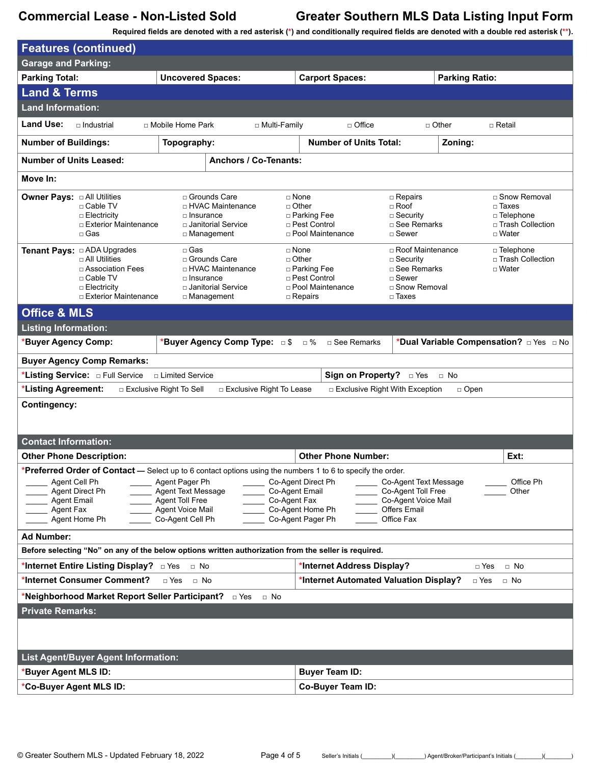**Required fields are denoted with a red asterisk (\*) and conditionally required fields are denoted with a double red asterisk (\*\*).**

| <b>Features (continued)</b>                                                                                                                                                                                                                                                                                                                                                                                                                                                                                                                    |                                                                                                                   |                                                                                              |                                                                                                               |                                                                                   |  |  |
|------------------------------------------------------------------------------------------------------------------------------------------------------------------------------------------------------------------------------------------------------------------------------------------------------------------------------------------------------------------------------------------------------------------------------------------------------------------------------------------------------------------------------------------------|-------------------------------------------------------------------------------------------------------------------|----------------------------------------------------------------------------------------------|---------------------------------------------------------------------------------------------------------------|-----------------------------------------------------------------------------------|--|--|
| <b>Garage and Parking:</b>                                                                                                                                                                                                                                                                                                                                                                                                                                                                                                                     |                                                                                                                   |                                                                                              |                                                                                                               |                                                                                   |  |  |
| <b>Parking Total:</b>                                                                                                                                                                                                                                                                                                                                                                                                                                                                                                                          | <b>Uncovered Spaces:</b>                                                                                          | <b>Carport Spaces:</b>                                                                       | <b>Parking Ratio:</b>                                                                                         |                                                                                   |  |  |
| <b>Land &amp; Terms</b>                                                                                                                                                                                                                                                                                                                                                                                                                                                                                                                        |                                                                                                                   |                                                                                              |                                                                                                               |                                                                                   |  |  |
| <b>Land Information:</b>                                                                                                                                                                                                                                                                                                                                                                                                                                                                                                                       |                                                                                                                   |                                                                                              |                                                                                                               |                                                                                   |  |  |
| <b>Land Use:</b><br>□ Industrial                                                                                                                                                                                                                                                                                                                                                                                                                                                                                                               | □ Mobile Home Park<br>□ Multi-Family                                                                              | □ Office                                                                                     | $\Box$ Other                                                                                                  | $\Box$ Retail                                                                     |  |  |
| <b>Number of Buildings:</b>                                                                                                                                                                                                                                                                                                                                                                                                                                                                                                                    | Topography:                                                                                                       | <b>Number of Units Total:</b>                                                                | Zoning:                                                                                                       |                                                                                   |  |  |
| <b>Number of Units Leased:</b>                                                                                                                                                                                                                                                                                                                                                                                                                                                                                                                 | <b>Anchors / Co-Tenants:</b>                                                                                      |                                                                                              |                                                                                                               |                                                                                   |  |  |
| Move In:                                                                                                                                                                                                                                                                                                                                                                                                                                                                                                                                       |                                                                                                                   |                                                                                              |                                                                                                               |                                                                                   |  |  |
| <b>Owner Pays: a All Utilities</b><br>□ Cable TV<br>$\Box$ Electricity<br>□ Exterior Maintenance<br>$\Box$ Gas                                                                                                                                                                                                                                                                                                                                                                                                                                 | □ Grounds Care<br>□ HVAC Maintenance<br>$\Box$ Insurance<br>□ Janitorial Service<br>□ Management                  | $\Box$ None<br>$\Box$ Other<br>□ Parking Fee<br>□ Pest Control<br>□ Pool Maintenance         | $\Box$ Repairs<br>$\Box$ Roof<br>$\Box$ Security<br>□ See Remarks<br>$\Box$ Sewer                             | □ Snow Removal<br>$\square$ Taxes<br>□ Telephone<br>□ Trash Collection<br>□ Water |  |  |
| <b>Tenant Pays:</b> □ ADA Upgrades<br>$\Box$ All Utilities<br>□ Association Fees<br>□ Cable TV<br>□ Electricity<br>□ Exterior Maintenance                                                                                                                                                                                                                                                                                                                                                                                                      | $\square$ Gas<br>□ Grounds Care<br>□ HVAC Maintenance<br>$\Box$ Insurance<br>□ Janitorial Service<br>□ Management | □ None<br>$\Box$ Other<br>□ Parking Fee<br>□ Pest Control<br>□ Pool Maintenance<br>□ Repairs | □ Roof Maintenance<br>$\Box$ Security<br>□ See Remarks<br>$\sqcap$ Sewer<br>□ Snow Removal<br>$\square$ Taxes | □ Telephone<br>□ Trash Collection<br>$\Box$ Water                                 |  |  |
| <b>Office &amp; MLS</b>                                                                                                                                                                                                                                                                                                                                                                                                                                                                                                                        |                                                                                                                   |                                                                                              |                                                                                                               |                                                                                   |  |  |
| <b>Listing Information:</b>                                                                                                                                                                                                                                                                                                                                                                                                                                                                                                                    |                                                                                                                   |                                                                                              |                                                                                                               |                                                                                   |  |  |
| <b>Buyer Agency Comp:</b>                                                                                                                                                                                                                                                                                                                                                                                                                                                                                                                      | *Buyer Agency Comp Type: 5                                                                                        | $\Box$ %<br>□ See Remarks                                                                    | *Dual Variable Compensation? DYes D No                                                                        |                                                                                   |  |  |
| <b>Buyer Agency Comp Remarks:</b>                                                                                                                                                                                                                                                                                                                                                                                                                                                                                                              |                                                                                                                   |                                                                                              |                                                                                                               |                                                                                   |  |  |
| *Listing Service: <b>DIE Full Service</b>                                                                                                                                                                                                                                                                                                                                                                                                                                                                                                      | □ Limited Service                                                                                                 | Sign on Property? <b>Divides</b>                                                             | $\Box$ No                                                                                                     |                                                                                   |  |  |
| *Listing Agreement:                                                                                                                                                                                                                                                                                                                                                                                                                                                                                                                            | □ Exclusive Right To Sell<br>□ Exclusive Right To Lease                                                           | $\Box$ Exclusive Right With Exception                                                        | $\Box$ Open                                                                                                   |                                                                                   |  |  |
| <b>Contingency:</b>                                                                                                                                                                                                                                                                                                                                                                                                                                                                                                                            |                                                                                                                   |                                                                                              |                                                                                                               |                                                                                   |  |  |
| <b>Contact Information:</b>                                                                                                                                                                                                                                                                                                                                                                                                                                                                                                                    |                                                                                                                   |                                                                                              |                                                                                                               |                                                                                   |  |  |
| <b>Other Phone Description:</b>                                                                                                                                                                                                                                                                                                                                                                                                                                                                                                                |                                                                                                                   | <b>Other Phone Number:</b>                                                                   |                                                                                                               | Ext:                                                                              |  |  |
| Preferred Order of Contact - Select up to 6 contact options using the numbers 1 to 6 to specify the order.<br>Agent Pager Ph<br>Office Ph<br>Agent Cell Ph<br>Co-Agent Direct Ph<br>Co-Agent Text Message<br>Agent Text Message<br>Co-Agent Email<br>Co-Agent Toll Free<br>Agent Direct Ph<br>Other<br><b>Agent Toll Free</b><br>Co-Agent Voice Mail<br><b>Agent Email</b><br>Co-Agent Fax<br>Agent Voice Mail<br>Co-Agent Home Ph<br><b>Offers Email</b><br>Agent Fax<br>Co-Agent Pager Ph<br>Co-Agent Cell Ph<br>Office Fax<br>Agent Home Ph |                                                                                                                   |                                                                                              |                                                                                                               |                                                                                   |  |  |
| <b>Ad Number:</b>                                                                                                                                                                                                                                                                                                                                                                                                                                                                                                                              |                                                                                                                   |                                                                                              |                                                                                                               |                                                                                   |  |  |
| Before selecting "No" on any of the below options written authorization from the seller is required.                                                                                                                                                                                                                                                                                                                                                                                                                                           |                                                                                                                   |                                                                                              |                                                                                                               |                                                                                   |  |  |
| *Internet Entire Listing Display? □ Yes<br>*Internet Address Display?<br>$\Box$ No<br>□ Yes<br>$\Box$ No                                                                                                                                                                                                                                                                                                                                                                                                                                       |                                                                                                                   |                                                                                              |                                                                                                               |                                                                                   |  |  |
| *Internet Consumer Comment?                                                                                                                                                                                                                                                                                                                                                                                                                                                                                                                    | $\sqcap$ Yes<br>$\Box$ No                                                                                         | *Internet Automated Valuation Display?                                                       | □ Yes                                                                                                         | $\Box$ No                                                                         |  |  |
| *Neighborhood Market Report Seller Participant? □ Yes<br>⊟ No                                                                                                                                                                                                                                                                                                                                                                                                                                                                                  |                                                                                                                   |                                                                                              |                                                                                                               |                                                                                   |  |  |
| <b>Private Remarks:</b>                                                                                                                                                                                                                                                                                                                                                                                                                                                                                                                        |                                                                                                                   |                                                                                              |                                                                                                               |                                                                                   |  |  |
| List Agent/Buyer Agent Information:<br><b>Buyer Team ID:</b>                                                                                                                                                                                                                                                                                                                                                                                                                                                                                   |                                                                                                                   |                                                                                              |                                                                                                               |                                                                                   |  |  |
| <b>Buyer Agent MLS ID:</b><br>*Co-Buyer Agent MLS ID:                                                                                                                                                                                                                                                                                                                                                                                                                                                                                          |                                                                                                                   | Co-Buyer Team ID:                                                                            |                                                                                                               |                                                                                   |  |  |
|                                                                                                                                                                                                                                                                                                                                                                                                                                                                                                                                                |                                                                                                                   |                                                                                              |                                                                                                               |                                                                                   |  |  |